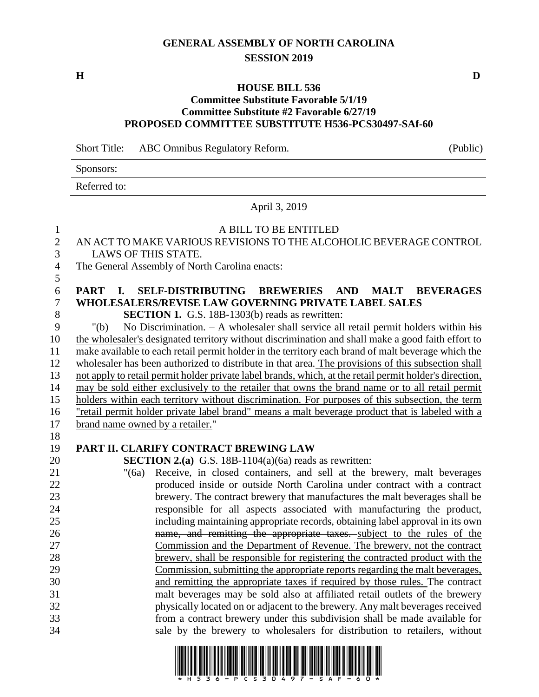# **GENERAL ASSEMBLY OF NORTH CAROLINA SESSION 2019**

## **HOUSE BILL 536**

### **Committee Substitute Favorable 5/1/19 Committee Substitute #2 Favorable 6/27/19 PROPOSED COMMITTEE SUBSTITUTE H536-PCS30497-SAf-60**

Short Title: ABC Omnibus Regulatory Reform. (Public)

Sponsors:

Referred to:

#### April 3, 2019

## A BILL TO BE ENTITLED AN ACT TO MAKE VARIOUS REVISIONS TO THE ALCOHOLIC BEVERAGE CONTROL LAWS OF THIS STATE. The General Assembly of North Carolina enacts: **PART I. SELF-DISTRIBUTING BREWERIES AND MALT BEVERAGES WHOLESALERS/REVISE LAW GOVERNING PRIVATE LABEL SALES SECTION 1.** G.S. 18B-1303(b) reads as rewritten: "(b) No Discrimination. – A wholesaler shall service all retail permit holders within his the wholesaler's designated territory without discrimination and shall make a good faith effort to make available to each retail permit holder in the territory each brand of malt beverage which the wholesaler has been authorized to distribute in that area. The provisions of this subsection shall not apply to retail permit holder private label brands, which, at the retail permit holder's direction, may be sold either exclusively to the retailer that owns the brand name or to all retail permit holders within each territory without discrimination. For purposes of this subsection, the term "retail permit holder private label brand" means a malt beverage product that is labeled with a brand name owned by a retailer." **PART II. CLARIFY CONTRACT BREWING LAW SECTION 2.(a)** G.S. 18B-1104(a)(6a) reads as rewritten: "(6a) Receive, in closed containers, and sell at the brewery, malt beverages produced inside or outside North Carolina under contract with a contract brewery. The contract brewery that manufactures the malt beverages shall be responsible for all aspects associated with manufacturing the product, including maintaining appropriate records, obtaining label approval in its own name, and remitting the appropriate taxes. subject to the rules of the Commission and the Department of Revenue. The brewery, not the contract brewery, shall be responsible for registering the contracted product with the Commission, submitting the appropriate reports regarding the malt beverages, and remitting the appropriate taxes if required by those rules. The contract malt beverages may be sold also at affiliated retail outlets of the brewery physically located on or adjacent to the brewery. Any malt beverages received from a contract brewery under this subdivision shall be made available for sale by the brewery to wholesalers for distribution to retailers, without



**H D**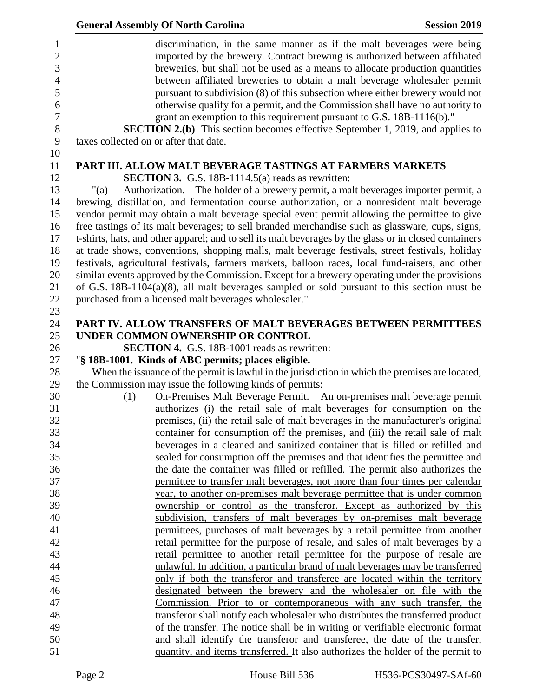| <b>General Assembly Of North Carolina</b><br><b>Session 2019</b>                                                                                                                                                                                                                                                  |
|-------------------------------------------------------------------------------------------------------------------------------------------------------------------------------------------------------------------------------------------------------------------------------------------------------------------|
| discrimination, in the same manner as if the malt beverages were being<br>imported by the brewery. Contract brewing is authorized between affiliated<br>breweries, but shall not be used as a means to allocate production quantities<br>between affiliated breweries to obtain a malt beverage wholesaler permit |
| pursuant to subdivision (8) of this subsection where either brewery would not<br>otherwise qualify for a permit, and the Commission shall have no authority to<br>grant an exemption to this requirement pursuant to G.S. 18B-1116(b)."                                                                           |
| <b>SECTION 2.(b)</b> This section becomes effective September 1, 2019, and applies to<br>taxes collected on or after that date.                                                                                                                                                                                   |
| PART III. ALLOW MALT BEVERAGE TASTINGS AT FARMERS MARKETS                                                                                                                                                                                                                                                         |
| <b>SECTION 3.</b> G.S. 18B-1114.5(a) reads as rewritten:                                                                                                                                                                                                                                                          |
| Authorization. – The holder of a brewery permit, a malt beverages importer permit, a<br>$"$ (a)                                                                                                                                                                                                                   |
| brewing, distillation, and fermentation course authorization, or a nonresident malt beverage                                                                                                                                                                                                                      |
| vendor permit may obtain a malt beverage special event permit allowing the permittee to give                                                                                                                                                                                                                      |
| free tastings of its malt beverages; to sell branded merchandise such as glassware, cups, signs,                                                                                                                                                                                                                  |
| t-shirts, hats, and other apparel; and to sell its malt beverages by the glass or in closed containers                                                                                                                                                                                                            |
| at trade shows, conventions, shopping malls, malt beverage festivals, street festivals, holiday                                                                                                                                                                                                                   |
| festivals, agricultural festivals, farmers markets, balloon races, local fund-raisers, and other                                                                                                                                                                                                                  |
| similar events approved by the Commission. Except for a brewery operating under the provisions                                                                                                                                                                                                                    |
| of G.S. $18B-1104(a)(8)$ , all malt beverages sampled or sold pursuant to this section must be                                                                                                                                                                                                                    |
| purchased from a licensed malt beverages wholesaler."                                                                                                                                                                                                                                                             |
| PART IV. ALLOW TRANSFERS OF MALT BEVERAGES BETWEEN PERMITTEES                                                                                                                                                                                                                                                     |
| UNDER COMMON OWNERSHIP OR CONTROL                                                                                                                                                                                                                                                                                 |
| <b>SECTION 4.</b> G.S. 18B-1001 reads as rewritten:                                                                                                                                                                                                                                                               |
| "§ 18B-1001. Kinds of ABC permits; places eligible.                                                                                                                                                                                                                                                               |
| When the issuance of the permit is lawful in the jurisdiction in which the premises are located,                                                                                                                                                                                                                  |
| the Commission may issue the following kinds of permits:                                                                                                                                                                                                                                                          |
| On-Premises Malt Beverage Permit. - An on-premises malt beverage permit<br>(1)                                                                                                                                                                                                                                    |
| authorizes (i) the retail sale of malt beverages for consumption on the                                                                                                                                                                                                                                           |
| premises, (ii) the retail sale of malt beverages in the manufacturer's original                                                                                                                                                                                                                                   |
| container for consumption off the premises, and (iii) the retail sale of malt                                                                                                                                                                                                                                     |
| beverages in a cleaned and sanitized container that is filled or refilled and                                                                                                                                                                                                                                     |
| sealed for consumption off the premises and that identifies the permittee and                                                                                                                                                                                                                                     |
| the date the container was filled or refilled. The permit also authorizes the                                                                                                                                                                                                                                     |
| permittee to transfer malt beverages, not more than four times per calendar                                                                                                                                                                                                                                       |
| year, to another on-premises malt beverage permittee that is under common                                                                                                                                                                                                                                         |
| ownership or control as the transferor. Except as authorized by this                                                                                                                                                                                                                                              |
| subdivision, transfers of malt beverages by on-premises malt beverage<br>permittees, purchases of malt beverages by a retail permittee from another                                                                                                                                                               |
| retail permittee for the purpose of resale, and sales of malt beverages by a                                                                                                                                                                                                                                      |
| retail permittee to another retail permittee for the purpose of resale are                                                                                                                                                                                                                                        |
| unlawful. In addition, a particular brand of malt beverages may be transferred                                                                                                                                                                                                                                    |
| only if both the transferor and transferee are located within the territory                                                                                                                                                                                                                                       |
| designated between the brewery and the wholesaler on file with the                                                                                                                                                                                                                                                |
| Commission. Prior to or contemporaneous with any such transfer, the                                                                                                                                                                                                                                               |
| transferor shall notify each wholesaler who distributes the transferred product                                                                                                                                                                                                                                   |
| of the transfer. The notice shall be in writing or verifiable electronic format                                                                                                                                                                                                                                   |
| and shall identify the transferor and transferee, the date of the transfer,                                                                                                                                                                                                                                       |
| quantity, and items transferred. It also authorizes the holder of the permit to                                                                                                                                                                                                                                   |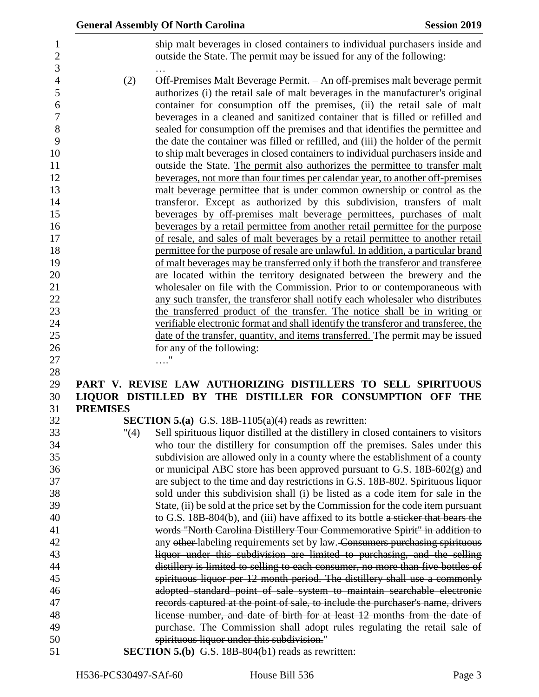|                                                                                                               |                      | <b>General Assembly Of North Carolina</b>                                                                                                                                                                                                                                                                                                                                                                                                                                                                                                                                                                                                                                                                                                                                                                                                                                                                                                                                                                                                                                                                                                                                                                                                                                                                                                                                                                                                                                                                                                                                | <b>Session 2019</b> |
|---------------------------------------------------------------------------------------------------------------|----------------------|--------------------------------------------------------------------------------------------------------------------------------------------------------------------------------------------------------------------------------------------------------------------------------------------------------------------------------------------------------------------------------------------------------------------------------------------------------------------------------------------------------------------------------------------------------------------------------------------------------------------------------------------------------------------------------------------------------------------------------------------------------------------------------------------------------------------------------------------------------------------------------------------------------------------------------------------------------------------------------------------------------------------------------------------------------------------------------------------------------------------------------------------------------------------------------------------------------------------------------------------------------------------------------------------------------------------------------------------------------------------------------------------------------------------------------------------------------------------------------------------------------------------------------------------------------------------------|---------------------|
| 1<br>$\overline{c}$                                                                                           |                      | ship malt beverages in closed containers to individual purchasers inside and<br>outside the State. The permit may be issued for any of the following:                                                                                                                                                                                                                                                                                                                                                                                                                                                                                                                                                                                                                                                                                                                                                                                                                                                                                                                                                                                                                                                                                                                                                                                                                                                                                                                                                                                                                    |                     |
| 3<br>4<br>5<br>6<br>7<br>8<br>9<br>10<br>11<br>12<br>13<br>14<br>15<br>16<br>17<br>18<br>19<br>20<br>21<br>22 | (2)                  | Off-Premises Malt Beverage Permit. - An off-premises malt beverage permit<br>authorizes (i) the retail sale of malt beverages in the manufacturer's original<br>container for consumption off the premises, (ii) the retail sale of malt<br>beverages in a cleaned and sanitized container that is filled or refilled and<br>sealed for consumption off the premises and that identifies the permittee and<br>the date the container was filled or refilled, and (iii) the holder of the permit<br>to ship malt beverages in closed containers to individual purchasers inside and<br>outside the State. The permit also authorizes the permittee to transfer malt<br>beverages, not more than four times per calendar year, to another off-premises<br>malt beverage permittee that is under common ownership or control as the<br>transferor. Except as authorized by this subdivision, transfers of malt<br>beverages by off-premises malt beverage permittees, purchases of malt<br>beverages by a retail permittee from another retail permittee for the purpose<br>of resale, and sales of malt beverages by a retail permittee to another retail<br>permittee for the purpose of resale are unlawful. In addition, a particular brand<br>of malt beverages may be transferred only if both the transferor and transferee<br>are located within the territory designated between the brewery and the<br>wholesaler on file with the Commission. Prior to or contemporaneous with<br>any such transfer, the transferor shall notify each wholesaler who distributes |                     |
| 23                                                                                                            |                      | the transferred product of the transfer. The notice shall be in writing or                                                                                                                                                                                                                                                                                                                                                                                                                                                                                                                                                                                                                                                                                                                                                                                                                                                                                                                                                                                                                                                                                                                                                                                                                                                                                                                                                                                                                                                                                               |                     |
| 24                                                                                                            |                      | verifiable electronic format and shall identify the transferor and transferee, the                                                                                                                                                                                                                                                                                                                                                                                                                                                                                                                                                                                                                                                                                                                                                                                                                                                                                                                                                                                                                                                                                                                                                                                                                                                                                                                                                                                                                                                                                       |                     |
| 25                                                                                                            |                      | date of the transfer, quantity, and items transferred. The permit may be issued                                                                                                                                                                                                                                                                                                                                                                                                                                                                                                                                                                                                                                                                                                                                                                                                                                                                                                                                                                                                                                                                                                                                                                                                                                                                                                                                                                                                                                                                                          |                     |
| 26                                                                                                            |                      | for any of the following:                                                                                                                                                                                                                                                                                                                                                                                                                                                                                                                                                                                                                                                                                                                                                                                                                                                                                                                                                                                                                                                                                                                                                                                                                                                                                                                                                                                                                                                                                                                                                |                     |
| 27                                                                                                            |                      |                                                                                                                                                                                                                                                                                                                                                                                                                                                                                                                                                                                                                                                                                                                                                                                                                                                                                                                                                                                                                                                                                                                                                                                                                                                                                                                                                                                                                                                                                                                                                                          |                     |
| 28                                                                                                            |                      |                                                                                                                                                                                                                                                                                                                                                                                                                                                                                                                                                                                                                                                                                                                                                                                                                                                                                                                                                                                                                                                                                                                                                                                                                                                                                                                                                                                                                                                                                                                                                                          |                     |
| 29<br>30                                                                                                      |                      | PART V. REVISE LAW AUTHORIZING DISTILLERS TO SELL SPIRITUOUS<br>LIQUOR DISTILLED BY THE DISTILLER FOR CONSUMPTION OFF                                                                                                                                                                                                                                                                                                                                                                                                                                                                                                                                                                                                                                                                                                                                                                                                                                                                                                                                                                                                                                                                                                                                                                                                                                                                                                                                                                                                                                                    | THE                 |
| 31                                                                                                            | <b>PREMISES</b>      |                                                                                                                                                                                                                                                                                                                                                                                                                                                                                                                                                                                                                                                                                                                                                                                                                                                                                                                                                                                                                                                                                                                                                                                                                                                                                                                                                                                                                                                                                                                                                                          |                     |
| 32                                                                                                            |                      | <b>SECTION 5.(a)</b> G.S. 18B-1105(a)(4) reads as rewritten:                                                                                                                                                                                                                                                                                                                                                                                                                                                                                                                                                                                                                                                                                                                                                                                                                                                                                                                                                                                                                                                                                                                                                                                                                                                                                                                                                                                                                                                                                                             |                     |
| 33                                                                                                            | $^{\prime\prime}(4)$ | Sell spirituous liquor distilled at the distillery in closed containers to visitors                                                                                                                                                                                                                                                                                                                                                                                                                                                                                                                                                                                                                                                                                                                                                                                                                                                                                                                                                                                                                                                                                                                                                                                                                                                                                                                                                                                                                                                                                      |                     |
| 34                                                                                                            |                      | who tour the distillery for consumption off the premises. Sales under this                                                                                                                                                                                                                                                                                                                                                                                                                                                                                                                                                                                                                                                                                                                                                                                                                                                                                                                                                                                                                                                                                                                                                                                                                                                                                                                                                                                                                                                                                               |                     |
| 35                                                                                                            |                      | subdivision are allowed only in a county where the establishment of a county                                                                                                                                                                                                                                                                                                                                                                                                                                                                                                                                                                                                                                                                                                                                                                                                                                                                                                                                                                                                                                                                                                                                                                                                                                                                                                                                                                                                                                                                                             |                     |
| 36                                                                                                            |                      | or municipal ABC store has been approved pursuant to G.S. $18B-602(g)$ and                                                                                                                                                                                                                                                                                                                                                                                                                                                                                                                                                                                                                                                                                                                                                                                                                                                                                                                                                                                                                                                                                                                                                                                                                                                                                                                                                                                                                                                                                               |                     |
| 37                                                                                                            |                      | are subject to the time and day restrictions in G.S. 18B-802. Spirituous liquor                                                                                                                                                                                                                                                                                                                                                                                                                                                                                                                                                                                                                                                                                                                                                                                                                                                                                                                                                                                                                                                                                                                                                                                                                                                                                                                                                                                                                                                                                          |                     |
| 38                                                                                                            |                      | sold under this subdivision shall (i) be listed as a code item for sale in the                                                                                                                                                                                                                                                                                                                                                                                                                                                                                                                                                                                                                                                                                                                                                                                                                                                                                                                                                                                                                                                                                                                                                                                                                                                                                                                                                                                                                                                                                           |                     |
| 39                                                                                                            |                      | State, (ii) be sold at the price set by the Commission for the code item pursuant                                                                                                                                                                                                                                                                                                                                                                                                                                                                                                                                                                                                                                                                                                                                                                                                                                                                                                                                                                                                                                                                                                                                                                                                                                                                                                                                                                                                                                                                                        |                     |
| 40                                                                                                            |                      | to G.S. 18B-804(b), and (iii) have affixed to its bottle a sticker that bears the                                                                                                                                                                                                                                                                                                                                                                                                                                                                                                                                                                                                                                                                                                                                                                                                                                                                                                                                                                                                                                                                                                                                                                                                                                                                                                                                                                                                                                                                                        |                     |
| 41                                                                                                            |                      | words "North Carolina Distillery Tour Commemorative Spirit" in addition to                                                                                                                                                                                                                                                                                                                                                                                                                                                                                                                                                                                                                                                                                                                                                                                                                                                                                                                                                                                                                                                                                                                                                                                                                                                                                                                                                                                                                                                                                               |                     |
| 42                                                                                                            |                      | any other labeling requirements set by law. Consumers purchasing spirituous                                                                                                                                                                                                                                                                                                                                                                                                                                                                                                                                                                                                                                                                                                                                                                                                                                                                                                                                                                                                                                                                                                                                                                                                                                                                                                                                                                                                                                                                                              |                     |
| 43                                                                                                            |                      | liquor under this subdivision are limited to purchasing, and the selling                                                                                                                                                                                                                                                                                                                                                                                                                                                                                                                                                                                                                                                                                                                                                                                                                                                                                                                                                                                                                                                                                                                                                                                                                                                                                                                                                                                                                                                                                                 |                     |
| 44                                                                                                            |                      | distillery is limited to selling to each consumer, no more than five bottles of                                                                                                                                                                                                                                                                                                                                                                                                                                                                                                                                                                                                                                                                                                                                                                                                                                                                                                                                                                                                                                                                                                                                                                                                                                                                                                                                                                                                                                                                                          |                     |
| 45                                                                                                            |                      | spirituous liquor per 12 month period. The distillery shall use a commonly                                                                                                                                                                                                                                                                                                                                                                                                                                                                                                                                                                                                                                                                                                                                                                                                                                                                                                                                                                                                                                                                                                                                                                                                                                                                                                                                                                                                                                                                                               |                     |
| 46                                                                                                            |                      | adopted standard point of sale system to maintain searchable electronic                                                                                                                                                                                                                                                                                                                                                                                                                                                                                                                                                                                                                                                                                                                                                                                                                                                                                                                                                                                                                                                                                                                                                                                                                                                                                                                                                                                                                                                                                                  |                     |
| 47                                                                                                            |                      | records captured at the point of sale, to include the purchaser's name, drivers                                                                                                                                                                                                                                                                                                                                                                                                                                                                                                                                                                                                                                                                                                                                                                                                                                                                                                                                                                                                                                                                                                                                                                                                                                                                                                                                                                                                                                                                                          |                     |
| 48<br>49                                                                                                      |                      | license number, and date of birth for at least 12 months from the date of<br>purchase. The Commission shall adopt rules regulating the retail sale of                                                                                                                                                                                                                                                                                                                                                                                                                                                                                                                                                                                                                                                                                                                                                                                                                                                                                                                                                                                                                                                                                                                                                                                                                                                                                                                                                                                                                    |                     |
| 50                                                                                                            |                      | spirituous liquor under this subdivision."                                                                                                                                                                                                                                                                                                                                                                                                                                                                                                                                                                                                                                                                                                                                                                                                                                                                                                                                                                                                                                                                                                                                                                                                                                                                                                                                                                                                                                                                                                                               |                     |
| 51                                                                                                            |                      | <b>SECTION 5.(b)</b> G.S. 18B-804(b1) reads as rewritten:                                                                                                                                                                                                                                                                                                                                                                                                                                                                                                                                                                                                                                                                                                                                                                                                                                                                                                                                                                                                                                                                                                                                                                                                                                                                                                                                                                                                                                                                                                                |                     |
|                                                                                                               |                      |                                                                                                                                                                                                                                                                                                                                                                                                                                                                                                                                                                                                                                                                                                                                                                                                                                                                                                                                                                                                                                                                                                                                                                                                                                                                                                                                                                                                                                                                                                                                                                          |                     |

 $\frac{1}{2}$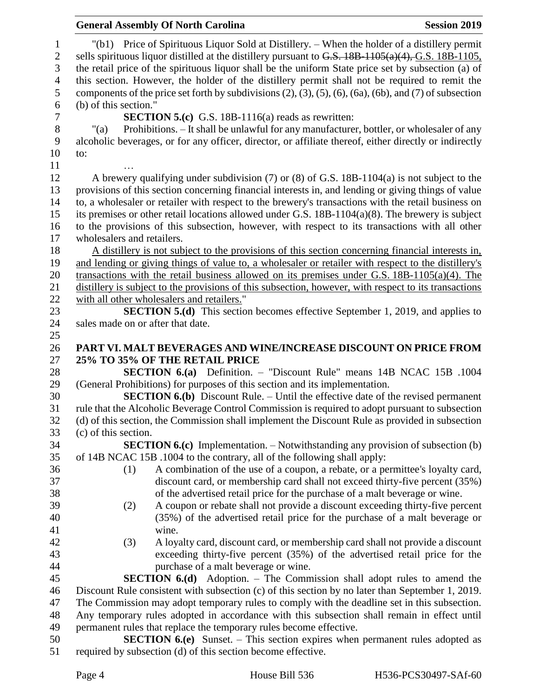## **General Assembly Of North Carolina Session 2019 Session 2019**  "(b1) Price of Spirituous Liquor Sold at Distillery. – When the holder of a distillery permit 2 sells spirituous liquor distilled at the distillery pursuant to G.S. 18B-1105(a)(4), G.S. 18B-1105, the retail price of the spirituous liquor shall be the uniform State price set by subsection (a) of this section. However, the holder of the distillery permit shall not be required to remit the components of the price set forth by subdivisions (2), (3), (5), (6), (6a), (6b), and (7) of subsection (b) of this section." **SECTION 5.(c)** G.S. 18B-1116(a) reads as rewritten: 8 "(a) Prohibitions. – It shall be unlawful for any manufacturer, bottler, or wholesaler of any alcoholic beverages, or for any officer, director, or affiliate thereof, either directly or indirectly alcoholic beverages, or for any officer, director, or affiliate thereof, either directly or indirectly to: … A brewery qualifying under subdivision (7) or (8) of G.S. 18B-1104(a) is not subject to the provisions of this section concerning financial interests in, and lending or giving things of value to, a wholesaler or retailer with respect to the brewery's transactions with the retail business on its premises or other retail locations allowed under G.S. 18B-1104(a)(8). The brewery is subject to the provisions of this subsection, however, with respect to its transactions with all other wholesalers and retailers. A distillery is not subject to the provisions of this section concerning financial interests in, and lending or giving things of value to, a wholesaler or retailer with respect to the distillery's transactions with the retail business allowed on its premises under G.S. 18B-1105(a)(4). The distillery is subject to the provisions of this subsection, however, with respect to its transactions with all other wholesalers and retailers." **SECTION 5.(d)** This section becomes effective September 1, 2019, and applies to 24 sales made on or after that date. **PART VI. MALT BEVERAGES AND WINE/INCREASE DISCOUNT ON PRICE FROM 25% TO 35% OF THE RETAIL PRICE SECTION 6.(a)** Definition. – "Discount Rule" means 14B NCAC 15B .1004 (General Prohibitions) for purposes of this section and its implementation. **SECTION 6.(b)** Discount Rule. – Until the effective date of the revised permanent rule that the Alcoholic Beverage Control Commission is required to adopt pursuant to subsection (d) of this section, the Commission shall implement the Discount Rule as provided in subsection (c) of this section. **SECTION 6.(c)** Implementation. – Notwithstanding any provision of subsection (b) of 14B NCAC 15B .1004 to the contrary, all of the following shall apply: (1) A combination of the use of a coupon, a rebate, or a permittee's loyalty card, discount card, or membership card shall not exceed thirty-five percent (35%) of the advertised retail price for the purchase of a malt beverage or wine. (2) A coupon or rebate shall not provide a discount exceeding thirty-five percent (35%) of the advertised retail price for the purchase of a malt beverage or wine. (3) A loyalty card, discount card, or membership card shall not provide a discount exceeding thirty-five percent (35%) of the advertised retail price for the purchase of a malt beverage or wine. **SECTION 6.(d)** Adoption. – The Commission shall adopt rules to amend the Discount Rule consistent with subsection (c) of this section by no later than September 1, 2019. The Commission may adopt temporary rules to comply with the deadline set in this subsection. Any temporary rules adopted in accordance with this subsection shall remain in effect until permanent rules that replace the temporary rules become effective. **SECTION 6.(e)** Sunset. – This section expires when permanent rules adopted as required by subsection (d) of this section become effective.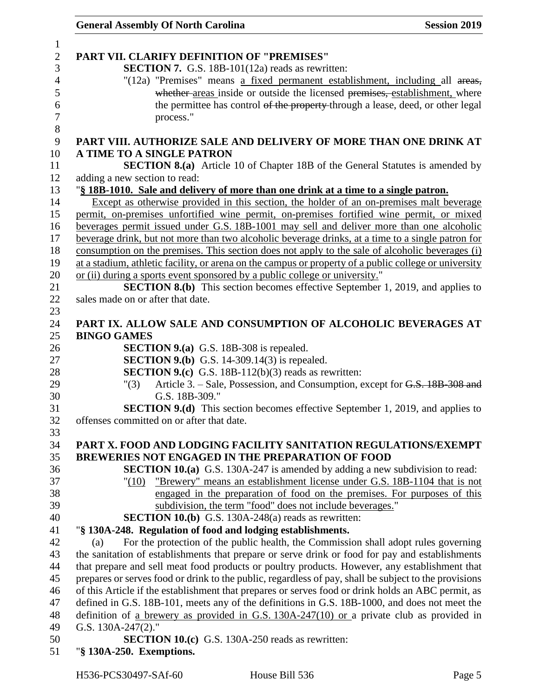| <b>General Assembly Of North Carolina</b>                                                                                                                    | <b>Session 2019</b> |
|--------------------------------------------------------------------------------------------------------------------------------------------------------------|---------------------|
|                                                                                                                                                              |                     |
| PART VII. CLARIFY DEFINITION OF "PREMISES"                                                                                                                   |                     |
| <b>SECTION 7.</b> G.S. 18B-101(12a) reads as rewritten:                                                                                                      |                     |
| "(12a) "Premises" means a fixed permanent establishment, including all areas,<br>whether-areas inside or outside the licensed premises, establishment, where |                     |
| the permittee has control of the property through a lease, deed, or other legal                                                                              |                     |
| process."                                                                                                                                                    |                     |
|                                                                                                                                                              |                     |
| PART VIII. AUTHORIZE SALE AND DELIVERY OF MORE THAN ONE DRINK AT                                                                                             |                     |
| A TIME TO A SINGLE PATRON<br><b>SECTION 8.(a)</b> Article 10 of Chapter 18B of the General Statutes is amended by                                            |                     |
| adding a new section to read:                                                                                                                                |                     |
| "§ 18B-1010. Sale and delivery of more than one drink at a time to a single patron.                                                                          |                     |
| Except as otherwise provided in this section, the holder of an on-premises malt beverage                                                                     |                     |
| permit, on-premises unfortified wine permit, on-premises fortified wine permit, or mixed                                                                     |                     |
| beverages permit issued under G.S. 18B-1001 may sell and deliver more than one alcoholic                                                                     |                     |
| beverage drink, but not more than two alcoholic beverage drinks, at a time to a single patron for                                                            |                     |
| consumption on the premises. This section does not apply to the sale of alcoholic beverages (i)                                                              |                     |
| at a stadium, athletic facility, or arena on the campus or property of a public college or university                                                        |                     |
| or (ii) during a sports event sponsored by a public college or university."                                                                                  |                     |
| <b>SECTION 8.(b)</b> This section becomes effective September 1, 2019, and applies to                                                                        |                     |
| sales made on or after that date.                                                                                                                            |                     |
| PART IX. ALLOW SALE AND CONSUMPTION OF ALCOHOLIC BEVERAGES AT                                                                                                |                     |
| <b>BINGO GAMES</b>                                                                                                                                           |                     |
| <b>SECTION 9.(a)</b> G.S. 18B-308 is repealed.                                                                                                               |                     |
| <b>SECTION 9.(b)</b> G.S. 14-309.14(3) is repealed.                                                                                                          |                     |
| <b>SECTION 9.(c)</b> G.S. 18B-112(b)(3) reads as rewritten:                                                                                                  |                     |
| Article 3. – Sale, Possession, and Consumption, except for G.S. 18B-308 and<br>"(3)                                                                          |                     |
| G.S. 18B-309."                                                                                                                                               |                     |
| <b>SECTION 9.(d)</b> This section becomes effective September 1, 2019, and applies to                                                                        |                     |
| offenses committed on or after that date.                                                                                                                    |                     |
|                                                                                                                                                              |                     |
| PART X. FOOD AND LODGING FACILITY SANITATION REGULATIONS/EXEMPT<br><b>BREWERIES NOT ENGAGED IN THE PREPARATION OF FOOD</b>                                   |                     |
| <b>SECTION 10.(a)</b> G.S. 130A-247 is amended by adding a new subdivision to read:                                                                          |                     |
| "Brewery" means an establishment license under G.S. 18B-1104 that is not<br>"(10)                                                                            |                     |
| engaged in the preparation of food on the premises. For purposes of this                                                                                     |                     |
| subdivision, the term "food" does not include beverages."                                                                                                    |                     |
| <b>SECTION 10.(b)</b> G.S. 130A-248(a) reads as rewritten:                                                                                                   |                     |
| "§ 130A-248. Regulation of food and lodging establishments.                                                                                                  |                     |
| For the protection of the public health, the Commission shall adopt rules governing<br>(a)                                                                   |                     |
| the sanitation of establishments that prepare or serve drink or food for pay and establishments                                                              |                     |
| that prepare and sell meat food products or poultry products. However, any establishment that                                                                |                     |
| prepares or serves food or drink to the public, regardless of pay, shall be subject to the provisions                                                        |                     |
| of this Article if the establishment that prepares or serves food or drink holds an ABC permit, as                                                           |                     |
| defined in G.S. 18B-101, meets any of the definitions in G.S. 18B-1000, and does not meet the                                                                |                     |
| definition of a brewery as provided in G.S. $130A-247(10)$ or a private club as provided in                                                                  |                     |
| G.S. 130A-247(2)."                                                                                                                                           |                     |
| <b>SECTION 10.(c)</b> G.S. 130A-250 reads as rewritten:                                                                                                      |                     |
| "§ 130A-250. Exemptions.                                                                                                                                     |                     |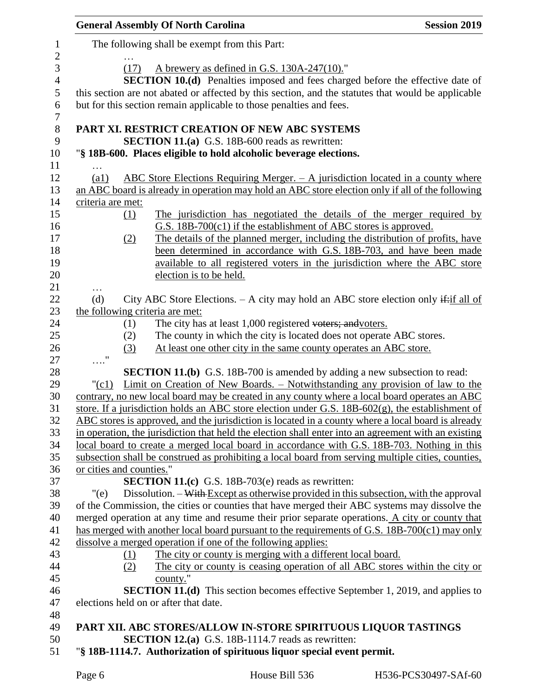|                          |                                 | <b>General Assembly Of North Carolina</b>                                                                                                                                                                                                  | <b>Session 2019</b> |
|--------------------------|---------------------------------|--------------------------------------------------------------------------------------------------------------------------------------------------------------------------------------------------------------------------------------------|---------------------|
| 1<br>$\overline{c}$      |                                 | The following shall be exempt from this Part:                                                                                                                                                                                              |                     |
| 3<br>$\overline{4}$<br>5 | (17)                            | A brewery as defined in G.S. 130A-247(10)."<br><b>SECTION 10.(d)</b> Penalties imposed and fees charged before the effective date of<br>this section are not abated or affected by this section, and the statutes that would be applicable |                     |
| 6<br>$\tau$              |                                 | but for this section remain applicable to those penalties and fees.                                                                                                                                                                        |                     |
| $8\,$<br>9               |                                 | PART XI. RESTRICT CREATION OF NEW ABC SYSTEMS<br><b>SECTION 11.(a)</b> G.S. 18B-600 reads as rewritten:                                                                                                                                    |                     |
| 10                       |                                 | "§ 18B-600. Places eligible to hold alcoholic beverage elections.                                                                                                                                                                          |                     |
| 11                       |                                 |                                                                                                                                                                                                                                            |                     |
| 12                       | $\left( a1\right)$              | ABC Store Elections Requiring Merger. $-$ A jurisdiction located in a county where                                                                                                                                                         |                     |
| 13                       |                                 | an ABC board is already in operation may hold an ABC store election only if all of the following                                                                                                                                           |                     |
| 14                       | criteria are met:               |                                                                                                                                                                                                                                            |                     |
| 15                       | (1)                             | The jurisdiction has negotiated the details of the merger required by                                                                                                                                                                      |                     |
| 16                       |                                 | $G.S.$ 18B-700 $(c1)$ if the establishment of ABC stores is approved.                                                                                                                                                                      |                     |
| 17                       | (2)                             | The details of the planned merger, including the distribution of profits, have                                                                                                                                                             |                     |
| 18                       |                                 | been determined in accordance with G.S. 18B-703, and have been made                                                                                                                                                                        |                     |
| 19                       |                                 | available to all registered voters in the jurisdiction where the ABC store<br>election is to be held.                                                                                                                                      |                     |
| 20<br>21                 |                                 |                                                                                                                                                                                                                                            |                     |
| 22                       | .<br>(d)                        | City ABC Store Elections. $-$ A city may hold an ABC store election only if if all of                                                                                                                                                      |                     |
| 23                       | the following criteria are met: |                                                                                                                                                                                                                                            |                     |
| 24                       | (1)                             | The city has at least 1,000 registered voters; and voters.                                                                                                                                                                                 |                     |
| 25                       | (2)                             | The county in which the city is located does not operate ABC stores.                                                                                                                                                                       |                     |
| 26                       | (3)                             | At least one other city in the same county operates an ABC store.                                                                                                                                                                          |                     |
| 27                       | $\ldots$ "                      |                                                                                                                                                                                                                                            |                     |
| 28                       |                                 | <b>SECTION 11.(b)</b> G.S. 18B-700 is amended by adding a new subsection to read:                                                                                                                                                          |                     |
| 29                       | "(c1)                           | Limit on Creation of New Boards. – Notwithstanding any provision of law to the                                                                                                                                                             |                     |
| 30                       |                                 | contrary, no new local board may be created in any county where a local board operates an ABC                                                                                                                                              |                     |
| 31                       |                                 | store. If a jurisdiction holds an ABC store election under G.S. $18B-602(g)$ , the establishment of                                                                                                                                        |                     |
| 32                       |                                 | ABC stores is approved, and the jurisdiction is located in a county where a local board is already                                                                                                                                         |                     |
| 33                       |                                 | in operation, the jurisdiction that held the election shall enter into an agreement with an existing                                                                                                                                       |                     |
| 34<br>35                 |                                 | local board to create a merged local board in accordance with G.S. 18B-703. Nothing in this<br>subsection shall be construed as prohibiting a local board from serving multiple cities, counties,                                          |                     |
| 36                       | or cities and counties."        |                                                                                                                                                                                                                                            |                     |
| 37                       |                                 | <b>SECTION 11.(c)</b> G.S. 18B-703(e) reads as rewritten:                                                                                                                                                                                  |                     |
| 38                       | "(e)                            | Dissolution. - With Except as otherwise provided in this subsection, with the approval                                                                                                                                                     |                     |
| 39                       |                                 | of the Commission, the cities or counties that have merged their ABC systems may dissolve the                                                                                                                                              |                     |
| 40                       |                                 | merged operation at any time and resume their prior separate operations. A city or county that                                                                                                                                             |                     |
| 41                       |                                 | has merged with another local board pursuant to the requirements of G.S. 18B-700(c1) may only                                                                                                                                              |                     |
| 42                       |                                 | dissolve a merged operation if one of the following applies:                                                                                                                                                                               |                     |
| 43                       | (1)                             | The city or county is merging with a different local board.                                                                                                                                                                                |                     |
| 44                       | (2)                             | The city or county is ceasing operation of all ABC stores within the city or                                                                                                                                                               |                     |
| 45                       |                                 | county."                                                                                                                                                                                                                                   |                     |
| 46                       |                                 | <b>SECTION 11.(d)</b> This section becomes effective September 1, 2019, and applies to                                                                                                                                                     |                     |
| 47                       |                                 | elections held on or after that date.                                                                                                                                                                                                      |                     |
| 48                       |                                 |                                                                                                                                                                                                                                            |                     |
| 49<br>50                 |                                 | PART XII. ABC STORES/ALLOW IN-STORE SPIRITUOUS LIQUOR TASTINGS<br><b>SECTION 12.(a)</b> G.S. 18B-1114.7 reads as rewritten:                                                                                                                |                     |
| 51                       |                                 | "§ 18B-1114.7. Authorization of spirituous liquor special event permit.                                                                                                                                                                    |                     |
|                          |                                 |                                                                                                                                                                                                                                            |                     |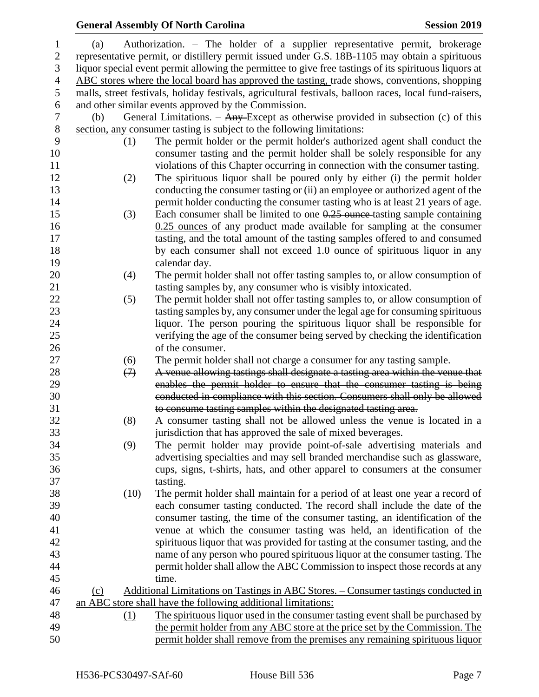|     |                   | <b>General Assembly Of North Carolina</b>                                                                                                            | <b>Session 2019</b> |
|-----|-------------------|------------------------------------------------------------------------------------------------------------------------------------------------------|---------------------|
| (a) |                   | Authorization. – The holder of a supplier representative permit, brokerage                                                                           |                     |
|     |                   | representative permit, or distillery permit issued under G.S. 18B-1105 may obtain a spirituous                                                       |                     |
|     |                   | liquor special event permit allowing the permittee to give free tastings of its spirituous liquors at                                                |                     |
|     |                   | ABC stores where the local board has approved the tasting, trade shows, conventions, shopping                                                        |                     |
|     |                   | malls, street festivals, holiday festivals, agricultural festivals, balloon races, local fund-raisers,                                               |                     |
|     |                   | and other similar events approved by the Commission.                                                                                                 |                     |
| (b) |                   | General Limitations. $-$ Any Except as otherwise provided in subsection (c) of this                                                                  |                     |
|     |                   | section, any consumer tasting is subject to the following limitations:                                                                               |                     |
|     | (1)               | The permit holder or the permit holder's authorized agent shall conduct the                                                                          |                     |
|     |                   | consumer tasting and the permit holder shall be solely responsible for any                                                                           |                     |
|     |                   | violations of this Chapter occurring in connection with the consumer tasting.                                                                        |                     |
|     |                   |                                                                                                                                                      |                     |
|     | (2)               | The spirituous liquor shall be poured only by either (i) the permit holder                                                                           |                     |
|     |                   | conducting the consumer tasting or (ii) an employee or authorized agent of the                                                                       |                     |
|     |                   | permit holder conducting the consumer tasting who is at least 21 years of age.                                                                       |                     |
|     | (3)               | Each consumer shall be limited to one $0.25$ ounce tasting sample containing                                                                         |                     |
|     |                   | $0.25$ ounces of any product made available for sampling at the consumer                                                                             |                     |
|     |                   | tasting, and the total amount of the tasting samples offered to and consumed                                                                         |                     |
|     |                   | by each consumer shall not exceed 1.0 ounce of spirituous liquor in any                                                                              |                     |
|     |                   | calendar day.                                                                                                                                        |                     |
|     | (4)               | The permit holder shall not offer tasting samples to, or allow consumption of                                                                        |                     |
|     |                   | tasting samples by, any consumer who is visibly intoxicated.                                                                                         |                     |
|     | (5)               | The permit holder shall not offer tasting samples to, or allow consumption of                                                                        |                     |
|     |                   | tasting samples by, any consumer under the legal age for consuming spirituous                                                                        |                     |
|     |                   | liquor. The person pouring the spirituous liquor shall be responsible for                                                                            |                     |
|     |                   | verifying the age of the consumer being served by checking the identification                                                                        |                     |
|     |                   | of the consumer.                                                                                                                                     |                     |
|     | (6)               | The permit holder shall not charge a consumer for any tasting sample.                                                                                |                     |
|     | $\leftrightarrow$ | A venue allowing tastings shall designate a tasting area within the venue that                                                                       |                     |
|     |                   | enables the permit holder to ensure that the consumer tasting is being<br>conducted in compliance with this section. Consumers shall only be allowed |                     |
|     |                   |                                                                                                                                                      |                     |
|     |                   | to consume tasting samples within the designated tasting area.                                                                                       |                     |
|     | (8)               | A consumer tasting shall not be allowed unless the venue is located in a                                                                             |                     |
|     |                   | jurisdiction that has approved the sale of mixed beverages.                                                                                          |                     |
|     | (9)               | The permit holder may provide point-of-sale advertising materials and                                                                                |                     |
|     |                   | advertising specialties and may sell branded merchandise such as glassware,                                                                          |                     |
|     |                   | cups, signs, t-shirts, hats, and other apparel to consumers at the consumer                                                                          |                     |
|     |                   | tasting.                                                                                                                                             |                     |
|     | (10)              | The permit holder shall maintain for a period of at least one year a record of                                                                       |                     |
|     |                   | each consumer tasting conducted. The record shall include the date of the                                                                            |                     |
|     |                   | consumer tasting, the time of the consumer tasting, an identification of the                                                                         |                     |
|     |                   | venue at which the consumer tasting was held, an identification of the                                                                               |                     |
|     |                   | spirituous liquor that was provided for tasting at the consumer tasting, and the                                                                     |                     |
|     |                   | name of any person who poured spirituous liquor at the consumer tasting. The                                                                         |                     |
|     |                   | permit holder shall allow the ABC Commission to inspect those records at any                                                                         |                     |
|     |                   | time.                                                                                                                                                |                     |
| (c) |                   | Additional Limitations on Tastings in ABC Stores. - Consumer tastings conducted in                                                                   |                     |
|     |                   | an ABC store shall have the following additional limitations:                                                                                        |                     |
|     | (1)               | The spirituous liquor used in the consumer tasting event shall be purchased by                                                                       |                     |
|     |                   | the permit holder from any ABC store at the price set by the Commission. The                                                                         |                     |
|     |                   | permit holder shall remove from the premises any remaining spirituous liquor                                                                         |                     |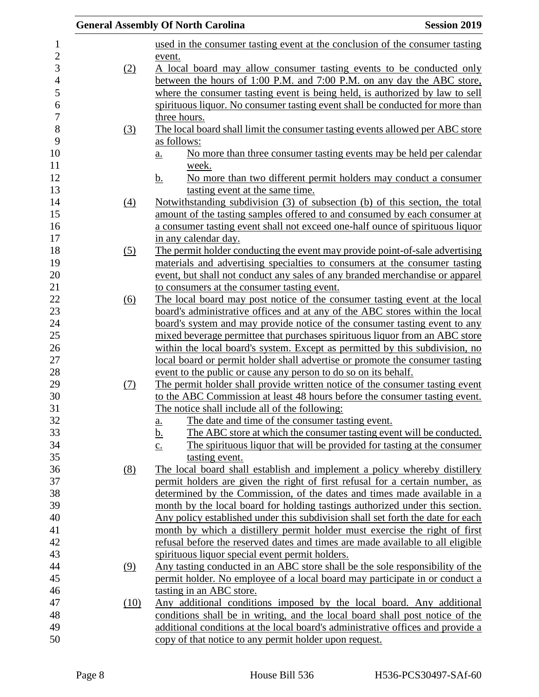|                   | <b>General Assembly Of North Carolina</b><br><b>Session 2019</b>                                                                                     |
|-------------------|------------------------------------------------------------------------------------------------------------------------------------------------------|
|                   | used in the consumer tasting event at the conclusion of the consumer tasting                                                                         |
|                   | event.                                                                                                                                               |
| (2)               | A local board may allow consumer tasting events to be conducted only                                                                                 |
|                   | between the hours of 1:00 P.M. and 7:00 P.M. on any day the ABC store,                                                                               |
|                   | where the consumer tasting event is being held, is authorized by law to sell                                                                         |
|                   | spirituous liquor. No consumer tasting event shall be conducted for more than                                                                        |
|                   | three hours.                                                                                                                                         |
| $\left(3\right)$  | The local board shall limit the consumer tasting events allowed per ABC store                                                                        |
|                   | as follows:                                                                                                                                          |
|                   | No more than three consumer tasting events may be held per calendar<br>a.                                                                            |
|                   | week.                                                                                                                                                |
|                   | No more than two different permit holders may conduct a consumer<br><u>b.</u>                                                                        |
|                   | tasting event at the same time.                                                                                                                      |
| (4)               | Notwithstanding subdivision (3) of subsection (b) of this section, the total                                                                         |
|                   | amount of the tasting samples offered to and consumed by each consumer at                                                                            |
|                   | a consumer tasting event shall not exceed one-half ounce of spirituous liquor                                                                        |
|                   | in any calendar day.                                                                                                                                 |
| $\left( 5\right)$ | The permit holder conducting the event may provide point-of-sale advertising                                                                         |
|                   | materials and advertising specialties to consumers at the consumer tasting                                                                           |
|                   | event, but shall not conduct any sales of any branded merchandise or apparel<br>to consumers at the consumer tasting event.                          |
|                   | The local board may post notice of the consumer tasting event at the local                                                                           |
| <u>(6)</u>        | board's administrative offices and at any of the ABC stores within the local                                                                         |
|                   | board's system and may provide notice of the consumer tasting event to any                                                                           |
|                   | mixed beverage permittee that purchases spirituous liquor from an ABC store                                                                          |
|                   | within the local board's system. Except as permitted by this subdivision, no                                                                         |
|                   | local board or permit holder shall advertise or promote the consumer tasting                                                                         |
|                   | event to the public or cause any person to do so on its behalf.                                                                                      |
| <u>(7)</u>        | The permit holder shall provide written notice of the consumer tasting event                                                                         |
|                   | to the ABC Commission at least 48 hours before the consumer tasting event.                                                                           |
|                   | The notice shall include all of the following:                                                                                                       |
|                   | The date and time of the consumer tasting event.<br><u>a.</u>                                                                                        |
|                   | <u>b.</u><br>The ABC store at which the consumer tasting event will be conducted.                                                                    |
|                   | The spirituous liquor that will be provided for tasting at the consumer<br>$\underline{c}$ .                                                         |
|                   | tasting event.                                                                                                                                       |
| (8)               | The local board shall establish and implement a policy whereby distillery                                                                            |
|                   | permit holders are given the right of first refusal for a certain number, as                                                                         |
|                   | determined by the Commission, of the dates and times made available in a                                                                             |
|                   | month by the local board for holding tastings authorized under this section.                                                                         |
|                   | Any policy established under this subdivision shall set forth the date for each                                                                      |
|                   | month by which a distillery permit holder must exercise the right of first                                                                           |
|                   | refusal before the reserved dates and times are made available to all eligible                                                                       |
|                   | spirituous liquor special event permit holders.                                                                                                      |
| (9)               | Any tasting conducted in an ABC store shall be the sole responsibility of the                                                                        |
|                   | permit holder. No employee of a local board may participate in or conduct a                                                                          |
|                   | tasting in an ABC store.                                                                                                                             |
| (10)              | Any additional conditions imposed by the local board. Any additional<br>conditions shall be in writing, and the local board shall post notice of the |
|                   | additional conditions at the local board's administrative offices and provide a                                                                      |
|                   | copy of that notice to any permit holder upon request.                                                                                               |
|                   |                                                                                                                                                      |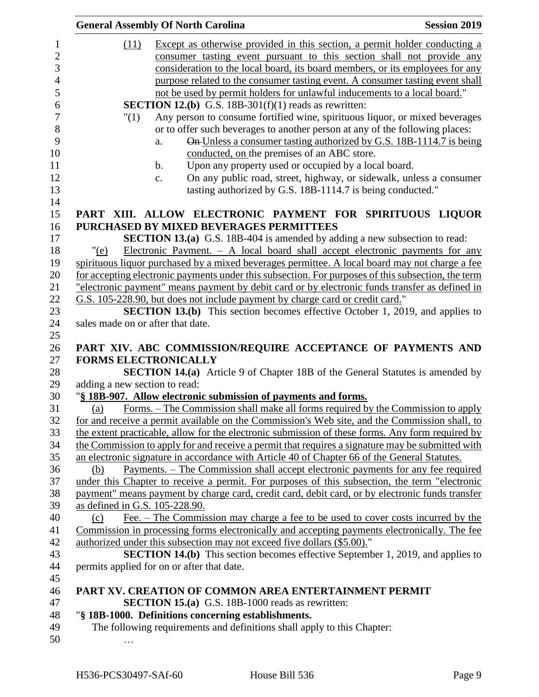|                                   | <b>General Assembly Of North Carolina</b>                                                          | <b>Session 2019</b> |
|-----------------------------------|----------------------------------------------------------------------------------------------------|---------------------|
| (11)                              | Except as otherwise provided in this section, a permit holder conducting a                         |                     |
|                                   | consumer tasting event pursuant to this section shall not provide any                              |                     |
|                                   | consideration to the local board, its board members, or its employees for any                      |                     |
|                                   | purpose related to the consumer tasting event. A consumer tasting event shall                      |                     |
|                                   | not be used by permit holders for unlawful inducements to a local board."                          |                     |
|                                   | <b>SECTION 12.(b)</b> G.S. 18B-301(f)(1) reads as rewritten:                                       |                     |
|                                   | Any person to consume fortified wine, spirituous liquor, or mixed beverages                        |                     |
| "(1)                              |                                                                                                    |                     |
|                                   | or to offer such beverages to another person at any of the following places:                       |                     |
|                                   | On Unless a consumer tasting authorized by G.S. 18B-1114.7 is being<br>a.                          |                     |
|                                   | conducted, on the premises of an ABC store.                                                        |                     |
|                                   | Upon any property used or occupied by a local board.<br>$\mathbf b$ .                              |                     |
|                                   | On any public road, street, highway, or sidewalk, unless a consumer<br>c.                          |                     |
|                                   | tasting authorized by G.S. 18B-1114.7 is being conducted."                                         |                     |
|                                   | PART XIII. ALLOW ELECTRONIC PAYMENT FOR SPIRITUOUS LIQUOR                                          |                     |
|                                   | PURCHASED BY MIXED BEVERAGES PERMITTEES                                                            |                     |
|                                   | <b>SECTION 13.(a)</b> G.S. 18B-404 is amended by adding a new subsection to read:                  |                     |
| "(e)                              | Electronic Payment. $- A$ local board shall accept electronic payments for any                     |                     |
|                                   | spirituous liquor purchased by a mixed beverages permittee. A local board may not charge a fee     |                     |
|                                   | for accepting electronic payments under this subsection. For purposes of this subsection, the term |                     |
|                                   | "electronic payment" means payment by debit card or by electronic funds transfer as defined in     |                     |
|                                   | G.S. 105-228.90, but does not include payment by charge card or credit card."                      |                     |
|                                   | <b>SECTION 13.(b)</b> This section becomes effective October 1, 2019, and applies to               |                     |
| sales made on or after that date. |                                                                                                    |                     |
|                                   |                                                                                                    |                     |
|                                   | PART XIV. ABC COMMISSION/REQUIRE ACCEPTANCE OF PAYMENTS AND                                        |                     |
|                                   | <b>FORMS ELECTRONICALLY</b>                                                                        |                     |
|                                   | <b>SECTION 14.(a)</b> Article 9 of Chapter 18B of the General Statutes is amended by               |                     |
| adding a new section to read:     |                                                                                                    |                     |
|                                   | "§ 18B-907. Allow electronic submission of payments and forms.                                     |                     |
| (a)                               | Forms. – The Commission shall make all forms required by the Commission to apply                   |                     |
|                                   | for and receive a permit available on the Commission's Web site, and the Commission shall, to      |                     |
|                                   | the extent practicable, allow for the electronic submission of these forms. Any form required by   |                     |
|                                   |                                                                                                    |                     |
|                                   | the Commission to apply for and receive a permit that requires a signature may be submitted with   |                     |
|                                   | an electronic signature in accordance with Article 40 of Chapter 66 of the General Statutes.       |                     |
| (b)                               | <u>Payments. – The Commission shall accept electronic payments for any fee required</u>            |                     |
|                                   | under this Chapter to receive a permit. For purposes of this subsection, the term "electronic      |                     |
|                                   | payment" means payment by charge card, credit card, debit card, or by electronic funds transfer    |                     |
| as defined in G.S. 105-228.90.    |                                                                                                    |                     |
| (c)                               | Fee. – The Commission may charge a fee to be used to cover costs incurred by the                   |                     |
|                                   | Commission in processing forms electronically and accepting payments electronically. The fee       |                     |
|                                   | authorized under this subsection may not exceed five dollars (\$5.00)."                            |                     |
|                                   | <b>SECTION 14.(b)</b> This section becomes effective September 1, 2019, and applies to             |                     |
|                                   | permits applied for on or after that date.                                                         |                     |
|                                   |                                                                                                    |                     |
|                                   | PART XV. CREATION OF COMMON AREA ENTERTAINMENT PERMIT                                              |                     |
|                                   | <b>SECTION 15.(a)</b> G.S. 18B-1000 reads as rewritten:                                            |                     |
|                                   | "§ 18B-1000. Definitions concerning establishments.                                                |                     |
|                                   | The following requirements and definitions shall apply to this Chapter:                            |                     |
|                                   |                                                                                                    |                     |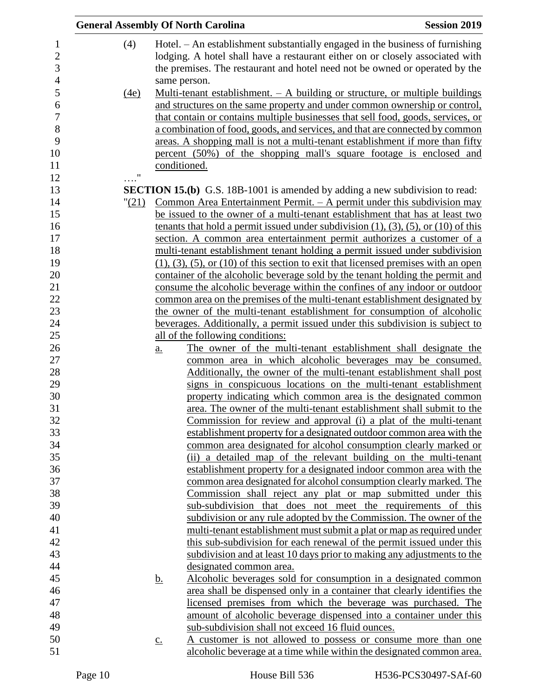| <b>General Assembly Of North Carolina</b> |                   |                                                                                                                                                                                                                                                   | <b>Session 2019</b> |
|-------------------------------------------|-------------------|---------------------------------------------------------------------------------------------------------------------------------------------------------------------------------------------------------------------------------------------------|---------------------|
| (4)                                       |                   | Hotel. – An establishment substantially engaged in the business of furnishing<br>lodging. A hotel shall have a restaurant either on or closely associated with<br>the premises. The restaurant and hotel need not be owned or operated by the     |                     |
| <u>(4e)</u>                               | same person.      | Multi-tenant establishment. $-$ A building or structure, or multiple buildings<br>and structures on the same property and under common ownership or control,                                                                                      |                     |
|                                           |                   | that contain or contains multiple businesses that sell food, goods, services, or<br>a combination of food, goods, and services, and that are connected by common<br>areas. A shopping mall is not a multi-tenant establishment if more than fifty |                     |
|                                           | conditioned.      | percent (50%) of the shopping mall's square footage is enclosed and                                                                                                                                                                               |                     |
| $\pmb{\mathsf{H}}$                        |                   |                                                                                                                                                                                                                                                   |                     |
|                                           |                   | <b>SECTION 15.(b)</b> G.S. 18B-1001 is amended by adding a new subdivision to read:                                                                                                                                                               |                     |
|                                           |                   | " $(21)$ Common Area Entertainment Permit. - A permit under this subdivision may                                                                                                                                                                  |                     |
|                                           |                   | be issued to the owner of a multi-tenant establishment that has at least two<br>tenants that hold a permit issued under subdivision $(1)$ , $(3)$ , $(5)$ , or $(10)$ of this                                                                     |                     |
|                                           |                   | section. A common area entertainment permit authorizes a customer of a                                                                                                                                                                            |                     |
|                                           |                   | multi-tenant establishment tenant holding a permit issued under subdivision                                                                                                                                                                       |                     |
|                                           |                   | $(1)$ , $(3)$ , $(5)$ , or $(10)$ of this section to exit that licensed premises with an open                                                                                                                                                     |                     |
|                                           |                   | container of the alcoholic beverage sold by the tenant holding the permit and                                                                                                                                                                     |                     |
|                                           |                   | consume the alcoholic beverage within the confines of any indoor or outdoor                                                                                                                                                                       |                     |
|                                           |                   | common area on the premises of the multi-tenant establishment designated by                                                                                                                                                                       |                     |
|                                           |                   | the owner of the multi-tenant establishment for consumption of alcoholic                                                                                                                                                                          |                     |
|                                           |                   | beverages. Additionally, a permit issued under this subdivision is subject to<br>all of the following conditions:                                                                                                                                 |                     |
|                                           |                   | The owner of the multi-tenant establishment shall designate the                                                                                                                                                                                   |                     |
|                                           | a.                | common area in which alcoholic beverages may be consumed.                                                                                                                                                                                         |                     |
|                                           |                   | Additionally, the owner of the multi-tenant establishment shall post                                                                                                                                                                              |                     |
|                                           |                   | signs in conspicuous locations on the multi-tenant establishment                                                                                                                                                                                  |                     |
|                                           |                   | property indicating which common area is the designated common                                                                                                                                                                                    |                     |
|                                           |                   | area. The owner of the multi-tenant establishment shall submit to the                                                                                                                                                                             |                     |
|                                           |                   | Commission for review and approval (i) a plat of the multi-tenant                                                                                                                                                                                 |                     |
|                                           |                   | establishment property for a designated outdoor common area with the                                                                                                                                                                              |                     |
|                                           |                   | common area designated for alcohol consumption clearly marked or                                                                                                                                                                                  |                     |
|                                           |                   | (ii) a detailed map of the relevant building on the multi-tenant                                                                                                                                                                                  |                     |
|                                           |                   | establishment property for a designated indoor common area with the                                                                                                                                                                               |                     |
|                                           |                   | common area designated for alcohol consumption clearly marked. The                                                                                                                                                                                |                     |
|                                           |                   | Commission shall reject any plat or map submitted under this                                                                                                                                                                                      |                     |
|                                           |                   | sub-subdivision that does not meet the requirements of this                                                                                                                                                                                       |                     |
|                                           |                   | subdivision or any rule adopted by the Commission. The owner of the                                                                                                                                                                               |                     |
|                                           |                   | multi-tenant establishment must submit a plat or map as required under                                                                                                                                                                            |                     |
|                                           |                   | this sub-subdivision for each renewal of the permit issued under this                                                                                                                                                                             |                     |
|                                           |                   | subdivision and at least 10 days prior to making any adjustments to the                                                                                                                                                                           |                     |
|                                           |                   | designated common area.                                                                                                                                                                                                                           |                     |
|                                           | <u>b.</u>         | Alcoholic beverages sold for consumption in a designated common                                                                                                                                                                                   |                     |
|                                           |                   | area shall be dispensed only in a container that clearly identifies the                                                                                                                                                                           |                     |
|                                           |                   | licensed premises from which the beverage was purchased. The                                                                                                                                                                                      |                     |
|                                           |                   | amount of alcoholic beverage dispensed into a container under this                                                                                                                                                                                |                     |
|                                           |                   | sub-subdivision shall not exceed 16 fluid ounces.                                                                                                                                                                                                 |                     |
|                                           | $\underline{c}$ . | A customer is not allowed to possess or consume more than one                                                                                                                                                                                     |                     |
|                                           |                   | alcoholic beverage at a time while within the designated common area.                                                                                                                                                                             |                     |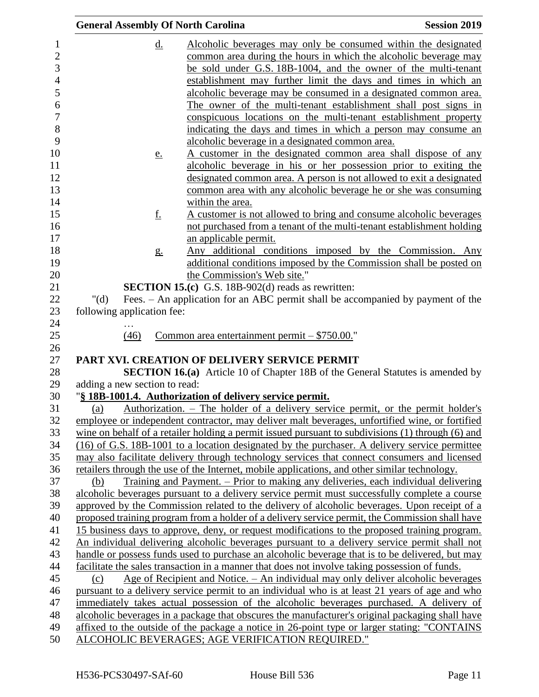| <b>General Assembly Of North Carolina</b> |                |                                                                                                   | <b>Session 2019</b>                                                                            |
|-------------------------------------------|----------------|---------------------------------------------------------------------------------------------------|------------------------------------------------------------------------------------------------|
|                                           | d.             |                                                                                                   | Alcoholic beverages may only be consumed within the designated                                 |
|                                           |                | common area during the hours in which the alcoholic beverage may                                  |                                                                                                |
|                                           |                | be sold under G.S. 18B-1004, and the owner of the multi-tenant                                    |                                                                                                |
|                                           |                | establishment may further limit the days and times in which an                                    |                                                                                                |
|                                           |                | alcoholic beverage may be consumed in a designated common area.                                   |                                                                                                |
|                                           |                | The owner of the multi-tenant establishment shall post signs in                                   |                                                                                                |
|                                           |                | conspicuous locations on the multi-tenant establishment property                                  |                                                                                                |
|                                           |                | indicating the days and times in which a person may consume an                                    |                                                                                                |
|                                           |                | alcoholic beverage in a designated common area.                                                   |                                                                                                |
|                                           | <u>e.</u>      |                                                                                                   | A customer in the designated common area shall dispose of any                                  |
|                                           |                | alcoholic beverage in his or her possession prior to exiting the                                  |                                                                                                |
|                                           |                | designated common area. A person is not allowed to exit a designated                              |                                                                                                |
|                                           |                | common area with any alcoholic beverage he or she was consuming                                   |                                                                                                |
|                                           |                | within the area.                                                                                  |                                                                                                |
|                                           | <u>f.</u>      | A customer is not allowed to bring and consume alcoholic beverages                                |                                                                                                |
|                                           |                |                                                                                                   | not purchased from a tenant of the multi-tenant establishment holding                          |
|                                           |                | an applicable permit.                                                                             |                                                                                                |
|                                           | g <sub>1</sub> |                                                                                                   | Any additional conditions imposed by the Commission. Any                                       |
|                                           |                |                                                                                                   | additional conditions imposed by the Commission shall be posted on                             |
|                                           |                | the Commission's Web site."                                                                       |                                                                                                |
|                                           |                | <b>SECTION 15.(c)</b> G.S. 18B-902(d) reads as rewritten:                                         |                                                                                                |
| " $(d)$                                   |                |                                                                                                   | Fees. – An application for an ABC permit shall be accompanied by payment of the                |
| following application fee:                |                |                                                                                                   |                                                                                                |
|                                           |                |                                                                                                   |                                                                                                |
| (46)                                      |                | Common area entertainment permit $-$ \$750.00."                                                   |                                                                                                |
|                                           |                |                                                                                                   |                                                                                                |
|                                           |                | PART XVI. CREATION OF DELIVERY SERVICE PERMIT                                                     |                                                                                                |
| adding a new section to read:             |                |                                                                                                   | <b>SECTION 16.(a)</b> Article 10 of Chapter 18B of the General Statutes is amended by          |
|                                           |                | "§ 18B-1001.4. Authorization of delivery service permit.                                          |                                                                                                |
| (a)                                       |                |                                                                                                   | Authorization. – The holder of a delivery service permit, or the permit holder's               |
|                                           |                |                                                                                                   | employee or independent contractor, may deliver malt beverages, unfortified wine, or fortified |
|                                           |                | wine on behalf of a retailer holding a permit issued pursuant to subdivisions (1) through (6) and |                                                                                                |
|                                           |                | (16) of G.S. 18B-1001 to a location designated by the purchaser. A delivery service permittee     |                                                                                                |
|                                           |                | may also facilitate delivery through technology services that connect consumers and licensed      |                                                                                                |
|                                           |                | retailers through the use of the Internet, mobile applications, and other similar technology.     |                                                                                                |
| (b)                                       |                | Training and Payment. – Prior to making any deliveries, each individual delivering                |                                                                                                |
|                                           |                | alcoholic beverages pursuant to a delivery service permit must successfully complete a course     |                                                                                                |
|                                           |                | approved by the Commission related to the delivery of alcoholic beverages. Upon receipt of a      |                                                                                                |
|                                           |                | proposed training program from a holder of a delivery service permit, the Commission shall have   |                                                                                                |
|                                           |                | 15 business days to approve, deny, or request modifications to the proposed training program.     |                                                                                                |
|                                           |                | An individual delivering alcoholic beverages pursuant to a delivery service permit shall not      |                                                                                                |
|                                           |                | handle or possess funds used to purchase an alcoholic beverage that is to be delivered, but may   |                                                                                                |
|                                           |                | facilitate the sales transaction in a manner that does not involve taking possession of funds.    |                                                                                                |
| (c)                                       |                | Age of Recipient and Notice. – An individual may only deliver alcoholic beverages                 |                                                                                                |
|                                           |                | pursuant to a delivery service permit to an individual who is at least 21 years of age and who    |                                                                                                |
|                                           |                | immediately takes actual possession of the alcoholic beverages purchased. A delivery of           |                                                                                                |
|                                           |                | alcoholic beverages in a package that obscures the manufacturer's original packaging shall have   |                                                                                                |
|                                           |                | affixed to the outside of the package a notice in 26-point type or larger stating: "CONTAINS"     |                                                                                                |
|                                           |                | ALCOHOLIC BEVERAGES; AGE VERIFICATION REQUIRED."                                                  |                                                                                                |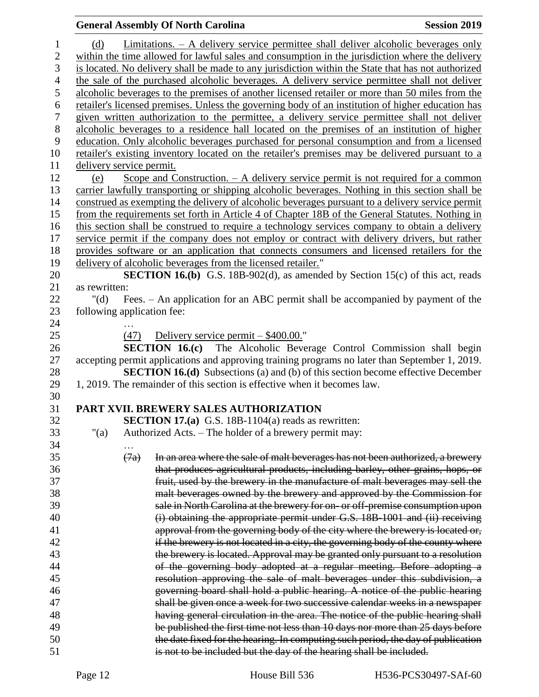# **General Assembly Of North Carolina Session 2019**

| $\mathbf{1}$     | (d)                                                                                                |      | Limitations. - A delivery service permittee shall deliver alcoholic beverages only               |  |  |  |  |  |  |
|------------------|----------------------------------------------------------------------------------------------------|------|--------------------------------------------------------------------------------------------------|--|--|--|--|--|--|
| $\mathbf{2}$     | within the time allowed for lawful sales and consumption in the jurisdiction where the delivery    |      |                                                                                                  |  |  |  |  |  |  |
| $\overline{3}$   | is located. No delivery shall be made to any jurisdiction within the State that has not authorized |      |                                                                                                  |  |  |  |  |  |  |
| $\overline{4}$   | the sale of the purchased alcoholic beverages. A delivery service permittee shall not deliver      |      |                                                                                                  |  |  |  |  |  |  |
| 5                | alcoholic beverages to the premises of another licensed retailer or more than 50 miles from the    |      |                                                                                                  |  |  |  |  |  |  |
| 6                | retailer's licensed premises. Unless the governing body of an institution of higher education has  |      |                                                                                                  |  |  |  |  |  |  |
| $\boldsymbol{7}$ | given written authorization to the permittee, a delivery service permittee shall not deliver       |      |                                                                                                  |  |  |  |  |  |  |
| $8\,$            |                                                                                                    |      | alcoholic beverages to a residence hall located on the premises of an institution of higher      |  |  |  |  |  |  |
| 9                |                                                                                                    |      | education. Only alcoholic beverages purchased for personal consumption and from a licensed       |  |  |  |  |  |  |
| 10               |                                                                                                    |      | retailer's existing inventory located on the retailer's premises may be delivered pursuant to a  |  |  |  |  |  |  |
| 11               | delivery service permit.                                                                           |      |                                                                                                  |  |  |  |  |  |  |
| 12               | (e)                                                                                                |      | Scope and Construction. $-$ A delivery service permit is not required for a common               |  |  |  |  |  |  |
| 13               |                                                                                                    |      | carrier lawfully transporting or shipping alcoholic beverages. Nothing in this section shall be  |  |  |  |  |  |  |
| 14               |                                                                                                    |      | construed as exempting the delivery of alcoholic beverages pursuant to a delivery service permit |  |  |  |  |  |  |
| 15               |                                                                                                    |      | from the requirements set forth in Article 4 of Chapter 18B of the General Statutes. Nothing in  |  |  |  |  |  |  |
| 16               |                                                                                                    |      | this section shall be construed to require a technology services company to obtain a delivery    |  |  |  |  |  |  |
| 17               |                                                                                                    |      | service permit if the company does not employ or contract with delivery drivers, but rather      |  |  |  |  |  |  |
| 18               |                                                                                                    |      | provides software or an application that connects consumers and licensed retailers for the       |  |  |  |  |  |  |
| 19               |                                                                                                    |      | delivery of alcoholic beverages from the licensed retailer."                                     |  |  |  |  |  |  |
| 20               |                                                                                                    |      | <b>SECTION 16.(b)</b> G.S. 18B-902(d), as amended by Section 15(c) of this act, reads            |  |  |  |  |  |  |
| 21               | as rewritten:                                                                                      |      |                                                                                                  |  |  |  |  |  |  |
| 22               | " $(d)$                                                                                            |      | Fees. – An application for an ABC permit shall be accompanied by payment of the                  |  |  |  |  |  |  |
| 23               | following application fee:                                                                         |      |                                                                                                  |  |  |  |  |  |  |
| 24               |                                                                                                    |      |                                                                                                  |  |  |  |  |  |  |
| 25               |                                                                                                    | (47) | Delivery service permit $-$ \$400.00."                                                           |  |  |  |  |  |  |
| 26               |                                                                                                    |      | SECTION 16.(c) The Alcoholic Beverage Control Commission shall begin                             |  |  |  |  |  |  |
| 27               |                                                                                                    |      | accepting permit applications and approving training programs no later than September 1, 2019.   |  |  |  |  |  |  |
| 28               |                                                                                                    |      | <b>SECTION 16.(d)</b> Subsections (a) and (b) of this section become effective December          |  |  |  |  |  |  |
| 29               |                                                                                                    |      | 1, 2019. The remainder of this section is effective when it becomes law.                         |  |  |  |  |  |  |
| 30               |                                                                                                    |      |                                                                                                  |  |  |  |  |  |  |
| 31               |                                                                                                    |      | PART XVII. BREWERY SALES AUTHORIZATION                                                           |  |  |  |  |  |  |
| 32               |                                                                                                    |      | <b>SECTION 17.(a)</b> G.S. 18B-1104(a) reads as rewritten:                                       |  |  |  |  |  |  |
| 33               | " $(a)$                                                                                            |      | Authorized Acts. - The holder of a brewery permit may:                                           |  |  |  |  |  |  |
| 34               |                                                                                                    |      |                                                                                                  |  |  |  |  |  |  |
| 35               |                                                                                                    | (7a) | In an area where the sale of malt beverages has not been authorized, a brewery                   |  |  |  |  |  |  |
| 36               |                                                                                                    |      | that produces agricultural products, including barley, other grains, hops, or                    |  |  |  |  |  |  |
| 37               |                                                                                                    |      | fruit, used by the brewery in the manufacture of malt beverages may sell the                     |  |  |  |  |  |  |
| 38               |                                                                                                    |      | malt beverages owned by the brewery and approved by the Commission for                           |  |  |  |  |  |  |
| 39               |                                                                                                    |      | sale in North Carolina at the brewery for on- or off-premise consumption upon                    |  |  |  |  |  |  |
| 40               |                                                                                                    |      | (i) obtaining the appropriate permit under G.S. 18B-1001 and (ii) receiving                      |  |  |  |  |  |  |
| 41               |                                                                                                    |      | approval from the governing body of the city where the brewery is located or,                    |  |  |  |  |  |  |
| 42               |                                                                                                    |      | if the brewery is not located in a city, the governing body of the county where                  |  |  |  |  |  |  |
| 43               |                                                                                                    |      | the brewery is located. Approval may be granted only pursuant to a resolution                    |  |  |  |  |  |  |
| 44               |                                                                                                    |      | of the governing body adopted at a regular meeting. Before adopting a                            |  |  |  |  |  |  |
| 45               |                                                                                                    |      | resolution approving the sale of malt beverages under this subdivision, a                        |  |  |  |  |  |  |
| 46               |                                                                                                    |      | governing board shall hold a public hearing. A notice of the public hearing                      |  |  |  |  |  |  |
| 47               |                                                                                                    |      | shall be given once a week for two successive calendar weeks in a newspaper                      |  |  |  |  |  |  |
| 48               |                                                                                                    |      | having general circulation in the area. The notice of the public hearing shall                   |  |  |  |  |  |  |
| 49               |                                                                                                    |      | be published the first time not less than 10 days nor more than 25 days before                   |  |  |  |  |  |  |
| 50               |                                                                                                    |      | the date fixed for the hearing. In computing such period, the day of publication                 |  |  |  |  |  |  |
| 51               |                                                                                                    |      | is not to be included but the day of the hearing shall be included.                              |  |  |  |  |  |  |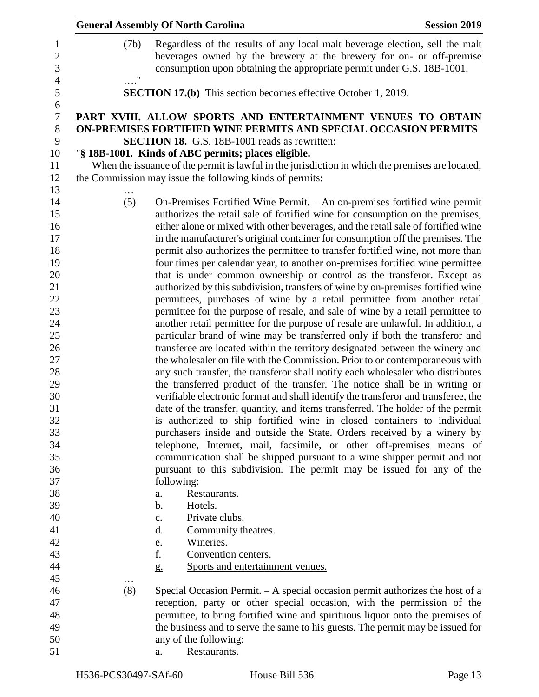|                    | <b>General Assembly Of North Carolina</b>                                                                                                                 | <b>Session 2019</b> |
|--------------------|-----------------------------------------------------------------------------------------------------------------------------------------------------------|---------------------|
| (7b)               | Regardless of the results of any local malt beverage election, sell the malt                                                                              |                     |
|                    | beverages owned by the brewery at the brewery for on- or off-premise                                                                                      |                     |
|                    | consumption upon obtaining the appropriate permit under G.S. 18B-1001.                                                                                    |                     |
| $\pmb{\mathsf{H}}$ |                                                                                                                                                           |                     |
|                    | <b>SECTION 17.(b)</b> This section becomes effective October 1, 2019.                                                                                     |                     |
|                    | PART XVIII. ALLOW SPORTS AND ENTERTAINMENT VENUES TO OBTAIN                                                                                               |                     |
|                    | ON-PREMISES FORTIFIED WINE PERMITS AND SPECIAL OCCASION PERMITS                                                                                           |                     |
|                    | <b>SECTION 18.</b> G.S. 18B-1001 reads as rewritten:                                                                                                      |                     |
|                    | "§ 18B-1001. Kinds of ABC permits; places eligible.                                                                                                       |                     |
|                    | When the issuance of the permit is lawful in the jurisdiction in which the premises are located,                                                          |                     |
|                    | the Commission may issue the following kinds of permits:                                                                                                  |                     |
| (5)                | On-Premises Fortified Wine Permit. - An on-premises fortified wine permit                                                                                 |                     |
|                    | authorizes the retail sale of fortified wine for consumption on the premises,                                                                             |                     |
|                    | either alone or mixed with other beverages, and the retail sale of fortified wine                                                                         |                     |
|                    | in the manufacturer's original container for consumption off the premises. The                                                                            |                     |
|                    | permit also authorizes the permittee to transfer fortified wine, not more than                                                                            |                     |
|                    | four times per calendar year, to another on-premises fortified wine permittee                                                                             |                     |
|                    | that is under common ownership or control as the transferor. Except as                                                                                    |                     |
|                    | authorized by this subdivision, transfers of wine by on-premises fortified wine                                                                           |                     |
|                    | permittees, purchases of wine by a retail permittee from another retail                                                                                   |                     |
|                    | permittee for the purpose of resale, and sale of wine by a retail permittee to                                                                            |                     |
|                    | another retail permittee for the purpose of resale are unlawful. In addition, a                                                                           |                     |
|                    | particular brand of wine may be transferred only if both the transferor and                                                                               |                     |
|                    | transferee are located within the territory designated between the winery and                                                                             |                     |
|                    | the wholesaler on file with the Commission. Prior to or contemporaneous with                                                                              |                     |
|                    | any such transfer, the transferor shall notify each wholesaler who distributes                                                                            |                     |
|                    | the transferred product of the transfer. The notice shall be in writing or                                                                                |                     |
|                    | verifiable electronic format and shall identify the transferor and transferee, the                                                                        |                     |
|                    | date of the transfer, quantity, and items transferred. The holder of the permit                                                                           |                     |
|                    | is authorized to ship fortified wine in closed containers to individual                                                                                   |                     |
|                    | purchasers inside and outside the State. Orders received by a winery by                                                                                   |                     |
|                    | telephone, Internet, mail, facsimile, or other off-premises means of                                                                                      |                     |
|                    | communication shall be shipped pursuant to a wine shipper permit and not                                                                                  |                     |
|                    | pursuant to this subdivision. The permit may be issued for any of the                                                                                     |                     |
|                    | following:                                                                                                                                                |                     |
|                    | Restaurants.<br>a.                                                                                                                                        |                     |
|                    | Hotels.<br>b.                                                                                                                                             |                     |
|                    | Private clubs.<br>c.                                                                                                                                      |                     |
|                    | d.<br>Community theatres.                                                                                                                                 |                     |
|                    | Wineries.<br>e.<br>f.                                                                                                                                     |                     |
|                    | Convention centers.                                                                                                                                       |                     |
|                    | Sports and entertainment venues.<br>$g_{\cdot}$                                                                                                           |                     |
| $\cdots$<br>(8)    |                                                                                                                                                           |                     |
|                    | Special Occasion Permit. $- A$ special occasion permit authorizes the host of a<br>reception, party or other special occasion, with the permission of the |                     |
|                    | permittee, to bring fortified wine and spirituous liquor onto the premises of                                                                             |                     |
|                    | the business and to serve the same to his guests. The permit may be issued for                                                                            |                     |
|                    | any of the following:                                                                                                                                     |                     |
|                    | Restaurants.<br>a.                                                                                                                                        |                     |
|                    |                                                                                                                                                           |                     |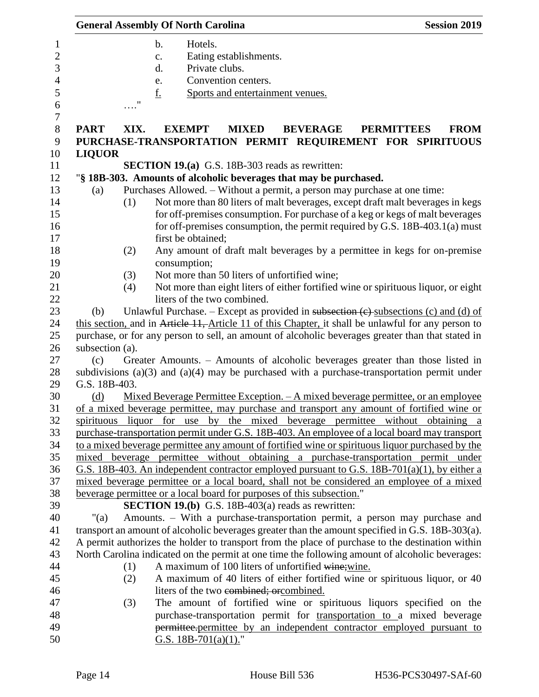|                 |                    | <b>General Assembly Of North Carolina</b>                             |                                  |                 | <b>Session 2019</b>                                                                                 |
|-----------------|--------------------|-----------------------------------------------------------------------|----------------------------------|-----------------|-----------------------------------------------------------------------------------------------------|
|                 |                    | Hotels.<br>$\mathbf b$ .                                              |                                  |                 |                                                                                                     |
|                 |                    | c.                                                                    | Eating establishments.           |                 |                                                                                                     |
|                 |                    | d.                                                                    | Private clubs.                   |                 |                                                                                                     |
|                 |                    | e.                                                                    | Convention centers.              |                 |                                                                                                     |
|                 |                    | <u>f.</u>                                                             | Sports and entertainment venues. |                 |                                                                                                     |
|                 | $\pmb{\mathsf{H}}$ |                                                                       |                                  |                 |                                                                                                     |
|                 |                    |                                                                       |                                  |                 |                                                                                                     |
| <b>PART</b>     | XIX.               | <b>EXEMPT</b>                                                         | <b>MIXED</b>                     | <b>BEVERAGE</b> | <b>PERMITTEES</b><br><b>FROM</b>                                                                    |
|                 |                    |                                                                       |                                  |                 | PURCHASE-TRANSPORTATION PERMIT REQUIREMENT FOR SPIRITUOUS                                           |
| <b>LIQUOR</b>   |                    |                                                                       |                                  |                 |                                                                                                     |
|                 |                    | <b>SECTION 19.(a)</b> G.S. 18B-303 reads as rewritten:                |                                  |                 |                                                                                                     |
|                 |                    | "§ 18B-303. Amounts of alcoholic beverages that may be purchased.     |                                  |                 |                                                                                                     |
| (a)             |                    |                                                                       |                                  |                 | Purchases Allowed. – Without a permit, a person may purchase at one time:                           |
|                 | (1)                |                                                                       |                                  |                 | Not more than 80 liters of malt beverages, except draft malt beverages in kegs                      |
|                 |                    |                                                                       |                                  |                 | for off-premises consumption. For purchase of a keg or kegs of malt beverages                       |
|                 |                    |                                                                       |                                  |                 | for off-premises consumption, the permit required by G.S. 18B-403.1(a) must                         |
|                 |                    | first be obtained;                                                    |                                  |                 |                                                                                                     |
|                 | (2)                |                                                                       |                                  |                 | Any amount of draft malt beverages by a permittee in kegs for on-premise                            |
|                 |                    | consumption;                                                          |                                  |                 |                                                                                                     |
|                 | (3)                | Not more than 50 liters of unfortified wine;                          |                                  |                 |                                                                                                     |
|                 | (4)                |                                                                       |                                  |                 | Not more than eight liters of either fortified wine or spirituous liquor, or eight                  |
|                 |                    | liters of the two combined.                                           |                                  |                 |                                                                                                     |
| (b)             |                    |                                                                       |                                  |                 | Unlawful Purchase. – Except as provided in subsection $(e)$ -subsections $(c)$ and $(d)$ of         |
|                 |                    |                                                                       |                                  |                 | this section, and in Article 11, Article 11 of this Chapter, it shall be unlawful for any person to |
|                 |                    |                                                                       |                                  |                 | purchase, or for any person to sell, an amount of alcoholic beverages greater than that stated in   |
| subsection (a). |                    |                                                                       |                                  |                 |                                                                                                     |
| (c)             |                    |                                                                       |                                  |                 | Greater Amounts. - Amounts of alcoholic beverages greater than those listed in                      |
|                 |                    |                                                                       |                                  |                 | subdivisions (a)(3) and (a)(4) may be purchased with a purchase-transportation permit under         |
| G.S. 18B-403.   |                    |                                                                       |                                  |                 |                                                                                                     |
| (d)             |                    |                                                                       |                                  |                 | <u>Mixed Beverage Permittee Exception. – A mixed beverage permittee, or an employee</u>             |
|                 |                    |                                                                       |                                  |                 | of a mixed beverage permittee, may purchase and transport any amount of fortified wine or           |
|                 |                    |                                                                       |                                  |                 | spirituous liquor for use by the mixed beverage permittee without obtaining a                       |
|                 |                    |                                                                       |                                  |                 | purchase-transportation permit under G.S. 18B-403. An employee of a local board may transport       |
|                 |                    |                                                                       |                                  |                 | to a mixed beverage permittee any amount of fortified wine or spirituous liquor purchased by the    |
|                 |                    |                                                                       |                                  |                 | mixed beverage permittee without obtaining a purchase-transportation permit under                   |
|                 |                    |                                                                       |                                  |                 | G.S. 18B-403. An independent contractor employed pursuant to G.S. 18B-701(a)(1), by either a        |
|                 |                    |                                                                       |                                  |                 | mixed beverage permittee or a local board, shall not be considered an employee of a mixed           |
|                 |                    | beverage permittee or a local board for purposes of this subsection." |                                  |                 |                                                                                                     |
|                 |                    | <b>SECTION 19.(b)</b> G.S. 18B-403(a) reads as rewritten:             |                                  |                 |                                                                                                     |
| " $(a)$         |                    |                                                                       |                                  |                 | Amounts. – With a purchase-transportation permit, a person may purchase and                         |
|                 |                    |                                                                       |                                  |                 | transport an amount of alcoholic beverages greater than the amount specified in G.S. 18B-303(a).    |
|                 |                    |                                                                       |                                  |                 | A permit authorizes the holder to transport from the place of purchase to the destination within    |
|                 |                    |                                                                       |                                  |                 | North Carolina indicated on the permit at one time the following amount of alcoholic beverages:     |
|                 | (1)                | A maximum of 100 liters of unfortified wine; wine.                    |                                  |                 |                                                                                                     |
|                 | (2)                |                                                                       |                                  |                 | A maximum of 40 liters of either fortified wine or spirituous liquor, or 40                         |
|                 |                    | liters of the two combined; or combined.                              |                                  |                 |                                                                                                     |
|                 | (3)                |                                                                       |                                  |                 | The amount of fortified wine or spirituous liquors specified on the                                 |
|                 |                    |                                                                       |                                  |                 | purchase-transportation permit for transportation to a mixed beverage                               |
|                 |                    |                                                                       |                                  |                 | permittee-permittee by an independent contractor employed pursuant to                               |
|                 |                    | G.S. 18B-701(a)(1)."                                                  |                                  |                 |                                                                                                     |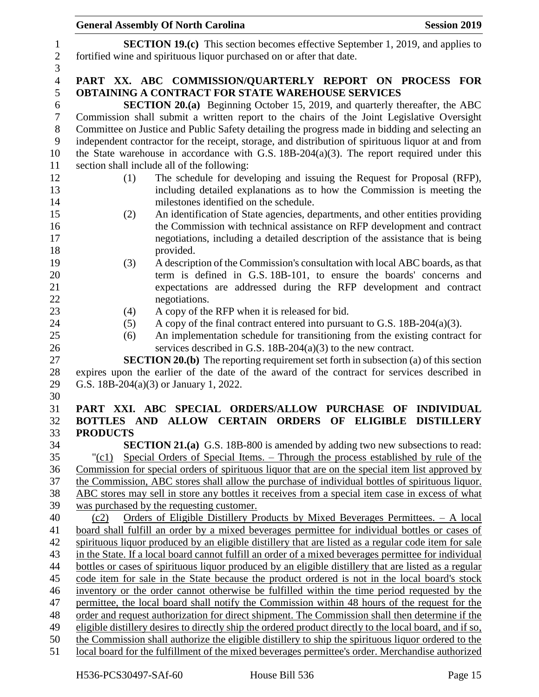|                | <b>General Assembly Of North Carolina</b><br><b>Session 2019</b>                                                                                                                                              |
|----------------|---------------------------------------------------------------------------------------------------------------------------------------------------------------------------------------------------------------|
| $\mathbf{1}$   | <b>SECTION 19.(c)</b> This section becomes effective September 1, 2019, and applies to                                                                                                                        |
| $\sqrt{2}$     | fortified wine and spirituous liquor purchased on or after that date.                                                                                                                                         |
| 3              |                                                                                                                                                                                                               |
| $\overline{4}$ | PART XX. ABC COMMISSION/QUARTERLY REPORT ON PROCESS FOR                                                                                                                                                       |
| 5              | <b>OBTAINING A CONTRACT FOR STATE WAREHOUSE SERVICES</b>                                                                                                                                                      |
| 6              | <b>SECTION 20.(a)</b> Beginning October 15, 2019, and quarterly thereafter, the ABC                                                                                                                           |
| $\overline{7}$ | Commission shall submit a written report to the chairs of the Joint Legislative Oversight                                                                                                                     |
| $8\,$          | Committee on Justice and Public Safety detailing the progress made in bidding and selecting an                                                                                                                |
| 9              | independent contractor for the receipt, storage, and distribution of spirituous liquor at and from                                                                                                            |
| 10             | the State warehouse in accordance with G.S. $18B-204(a)(3)$ . The report required under this                                                                                                                  |
| 11             | section shall include all of the following:                                                                                                                                                                   |
| 12             | The schedule for developing and issuing the Request for Proposal (RFP),<br>(1)<br>including detailed explanations as to how the Commission is meeting the                                                     |
| 13<br>14       | milestones identified on the schedule.                                                                                                                                                                        |
| 15             | An identification of State agencies, departments, and other entities providing<br>(2)                                                                                                                         |
| 16             | the Commission with technical assistance on RFP development and contract                                                                                                                                      |
| 17             | negotiations, including a detailed description of the assistance that is being                                                                                                                                |
| 18             | provided.                                                                                                                                                                                                     |
| 19             | A description of the Commission's consultation with local ABC boards, as that<br>(3)                                                                                                                          |
| 20             | term is defined in G.S. 18B-101, to ensure the boards' concerns and                                                                                                                                           |
| 21             | expectations are addressed during the RFP development and contract                                                                                                                                            |
| 22             | negotiations.                                                                                                                                                                                                 |
| 23             | A copy of the RFP when it is released for bid.<br>(4)                                                                                                                                                         |
| 24             | A copy of the final contract entered into pursuant to G.S. $18B-204(a)(3)$ .<br>(5)                                                                                                                           |
| 25             | An implementation schedule for transitioning from the existing contract for<br>(6)                                                                                                                            |
| 26             | services described in G.S. 18B-204(a)(3) to the new contract.                                                                                                                                                 |
| 27             | <b>SECTION 20.(b)</b> The reporting requirement set forth in subsection (a) of this section                                                                                                                   |
| 28<br>29       | expires upon the earlier of the date of the award of the contract for services described in<br>G.S. 18B-204(a)(3) or January 1, 2022.                                                                         |
| 30             |                                                                                                                                                                                                               |
| 31             | PART XXI. ABC SPECIAL ORDERS/ALLOW PURCHASE OF INDIVIDUAL                                                                                                                                                     |
| 32             | BOTTLES AND ALLOW CERTAIN ORDERS OF ELIGIBLE DISTILLERY                                                                                                                                                       |
| 33             | <b>PRODUCTS</b>                                                                                                                                                                                               |
| 34             | <b>SECTION 21.(a)</b> G.S. 18B-800 is amended by adding two new subsections to read:                                                                                                                          |
| 35             | Special Orders of Special Items. – Through the process established by rule of the<br>$"({c}1)$                                                                                                                |
| 36             | Commission for special orders of spirituous liquor that are on the special item list approved by                                                                                                              |
| 37             | the Commission, ABC stores shall allow the purchase of individual bottles of spirituous liquor.                                                                                                               |
| 38             | ABC stores may sell in store any bottles it receives from a special item case in excess of what                                                                                                               |
| 39             | was purchased by the requesting customer.                                                                                                                                                                     |
| 40             | Orders of Eligible Distillery Products by Mixed Beverages Permittees. - A local<br>(c2)                                                                                                                       |
| 41             | board shall fulfill an order by a mixed beverages permittee for individual bottles or cases of                                                                                                                |
| 42             | spirituous liquor produced by an eligible distillery that are listed as a regular code item for sale                                                                                                          |
| 43             | in the State. If a local board cannot fulfill an order of a mixed beverages permittee for individual<br>bottles or cases of spirituous liquor produced by an eligible distillery that are listed as a regular |
| 44<br>45       | code item for sale in the State because the product ordered is not in the local board's stock                                                                                                                 |
| 46             | inventory or the order cannot otherwise be fulfilled within the time period requested by the                                                                                                                  |
| 47             | permittee, the local board shall notify the Commission within 48 hours of the request for the                                                                                                                 |
| 48             | order and request authorization for direct shipment. The Commission shall then determine if the                                                                                                               |
| 49             | eligible distillery desires to directly ship the ordered product directly to the local board, and if so,                                                                                                      |
| 50             | the Commission shall authorize the eligible distillery to ship the spirituous liquor ordered to the                                                                                                           |
| 51             | local board for the fulfillment of the mixed beverages permittee's order. Merchandise authorized                                                                                                              |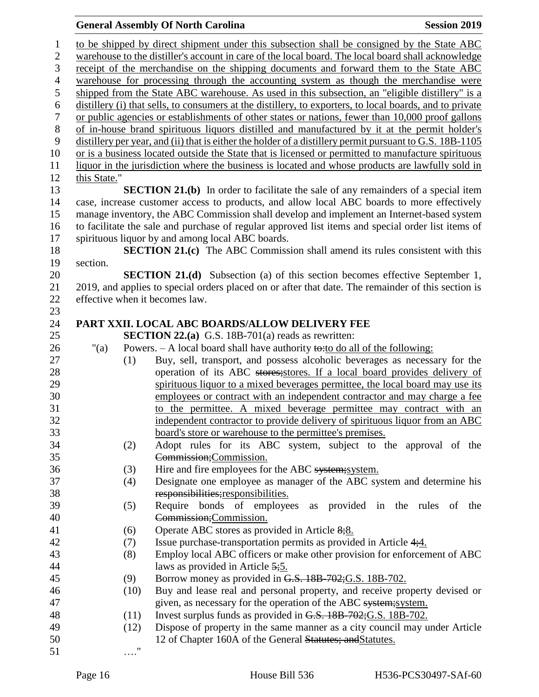to be shipped by direct shipment under this subsection shall be consigned by the State ABC warehouse to the distiller's account in care of the local board. The local board shall acknowledge receipt of the merchandise on the shipping documents and forward them to the State ABC warehouse for processing through the accounting system as though the merchandise were shipped from the State ABC warehouse. As used in this subsection, an "eligible distillery" is a distillery (i) that sells, to consumers at the distillery, to exporters, to local boards, and to private or public agencies or establishments of other states or nations, fewer than 10,000 proof gallons of in-house brand spirituous liquors distilled and manufactured by it at the permit holder's distillery per year, and (ii) that is either the holder of a distillery permit pursuant to G.S. 18B-1105 or is a business located outside the State that is licensed or permitted to manufacture spirituous liquor in the jurisdiction where the business is located and whose products are lawfully sold in this State." **SECTION 21.(b)** In order to facilitate the sale of any remainders of a special item case, increase customer access to products, and allow local ABC boards to more effectively manage inventory, the ABC Commission shall develop and implement an Internet-based system to facilitate the sale and purchase of regular approved list items and special order list items of spirituous liquor by and among local ABC boards. **SECTION 21.(c)** The ABC Commission shall amend its rules consistent with this section. **SECTION 21.(d)** Subsection (a) of this section becomes effective September 1, 2019, and applies to special orders placed on or after that date. The remainder of this section is effective when it becomes law. **PART XXII. LOCAL ABC BOARDS/ALLOW DELIVERY FEE SECTION 22.(a)** G.S. 18B-701(a) reads as rewritten: 26 "(a) Powers. – A local board shall have authority to: to do all of the following: (1) Buy, sell, transport, and possess alcoholic beverages as necessary for the 28 operation of its ABC stores; stores. If a local board provides delivery of spirituous liquor to a mixed beverages permittee, the local board may use its employees or contract with an independent contractor and may charge a fee to the permittee. A mixed beverage permittee may contract with an independent contractor to provide delivery of spirituous liquor from an ABC board's store or warehouse to the permittee's premises. (2) Adopt rules for its ABC system, subject to the approval of the Commission;Commission. (3) Hire and fire employees for the ABC system;system. (4) Designate one employee as manager of the ABC system and determine his responsibilities;responsibilities. (5) Require bonds of employees as provided in the rules of the Commission;Commission. 41 (6) Operate ABC stores as provided in Article 8;8. (7) Issue purchase-transportation permits as provided in Article 4;4. (8) Employ local ABC officers or make other provision for enforcement of ABC 44 laws as provided in Article 5;5. 45 (9) Borrow money as provided in G.S. 188-702; G.S. 188-702. (10) Buy and lease real and personal property, and receive property devised or 47 given, as necessary for the operation of the ABC system; system. (11) Invest surplus funds as provided in G.S. 18B-702;G.S. 18B-702. (12) Dispose of property in the same manner as a city council may under Article 50 12 of Chapter 160A of the General Statutes; and Statutes. …."